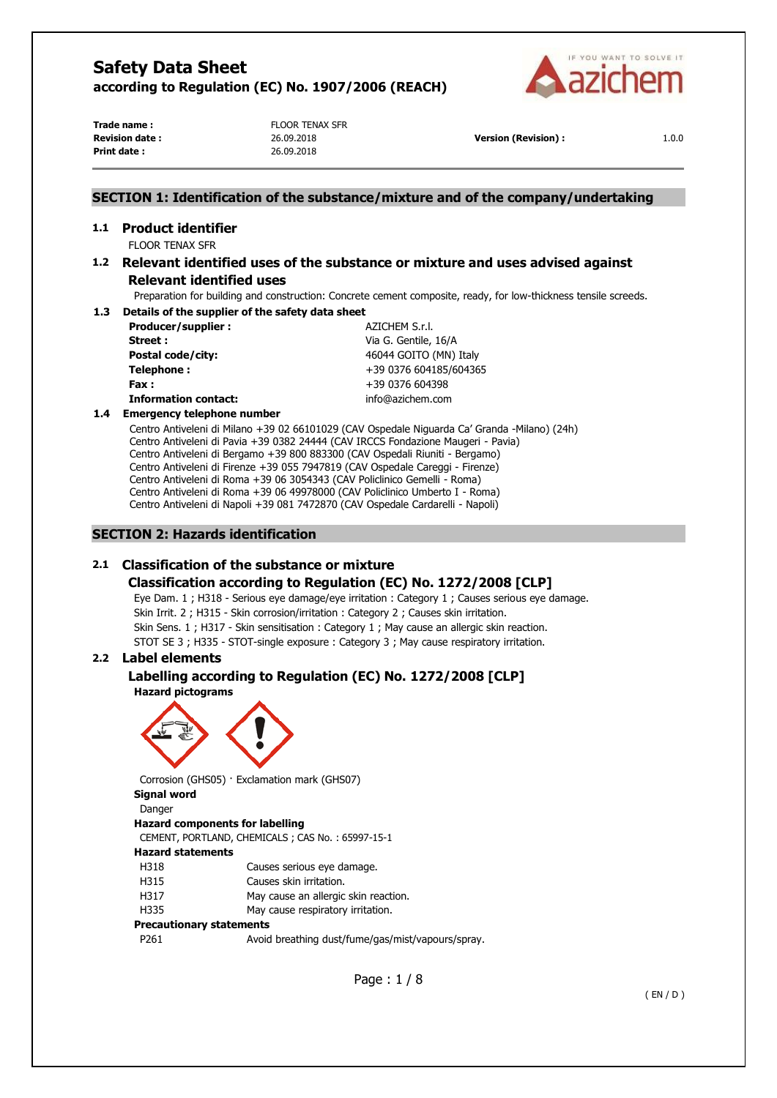

**Print date :** 26.09.2018

**Trade name :** Trade name : FLOOR TENAX SFR

**Revision date :** 26.09.2018 **Version (Revision) :** 1.0.0

## **SECTION 1: Identification of the substance/mixture and of the company/undertaking**

# **1.1 Product identifier**

FLOOR TENAX SFR

## **1.2 Relevant identified uses of the substance or mixture and uses advised against Relevant identified uses**

Preparation for building and construction: Concrete cement composite, ready, for low-thickness tensile screeds.

#### **1.3 Details of the supplier of the safety data sheet**

| Producer/supplier:          | AZICHEM S.r.l.         |
|-----------------------------|------------------------|
| Street :                    | Via G. Gentile, 16/A   |
| <b>Postal code/city:</b>    | 46044 GOITO (MN) Italy |
| Telephone:                  | +39 0376 604185/604365 |
| Fax :                       | +39 0376 604398        |
| <b>Information contact:</b> | info@azichem.com       |

#### **1.4 Emergency telephone number**

Centro Antiveleni di Milano +39 02 66101029 (CAV Ospedale Niguarda Ca' Granda -Milano) (24h) Centro Antiveleni di Pavia +39 0382 24444 (CAV IRCCS Fondazione Maugeri - Pavia) Centro Antiveleni di Bergamo +39 800 883300 (CAV Ospedali Riuniti - Bergamo) Centro Antiveleni di Firenze +39 055 7947819 (CAV Ospedale Careggi - Firenze) Centro Antiveleni di Roma +39 06 3054343 (CAV Policlinico Gemelli - Roma) Centro Antiveleni di Roma +39 06 49978000 (CAV Policlinico Umberto I - Roma) Centro Antiveleni di Napoli +39 081 7472870 (CAV Ospedale Cardarelli - Napoli)

## **SECTION 2: Hazards identification**

## **2.1 Classification of the substance or mixture**

## **Classification according to Regulation (EC) No. 1272/2008 [CLP]**

Eye Dam. 1 ; H318 - Serious eye damage/eye irritation : Category 1 ; Causes serious eye damage. Skin Irrit. 2 ; H315 - Skin corrosion/irritation : Category 2 ; Causes skin irritation. Skin Sens. 1 ; H317 - Skin sensitisation : Category 1 ; May cause an allergic skin reaction. STOT SE 3 ; H335 - STOT-single exposure : Category 3 ; May cause respiratory irritation.

## **2.2 Label elements**

## **Labelling according to Regulation (EC) No. 1272/2008 [CLP]**

**Hazard pictograms** 



Corrosion (GHS05) · Exclamation mark (GHS07)

# **Signal word**

Danger **Hazard components for labelling**  CEMENT, PORTLAND, CHEMICALS ; CAS No. : 65997-15-1 **Hazard statements**  H318 Causes serious eye damage. H315 Causes skin irritation. H317 May cause an allergic skin reaction. H335 May cause respiratory irritation. **Precautionary statements** 

P261 Avoid breathing dust/fume/gas/mist/vapours/spray.

Page : 1 / 8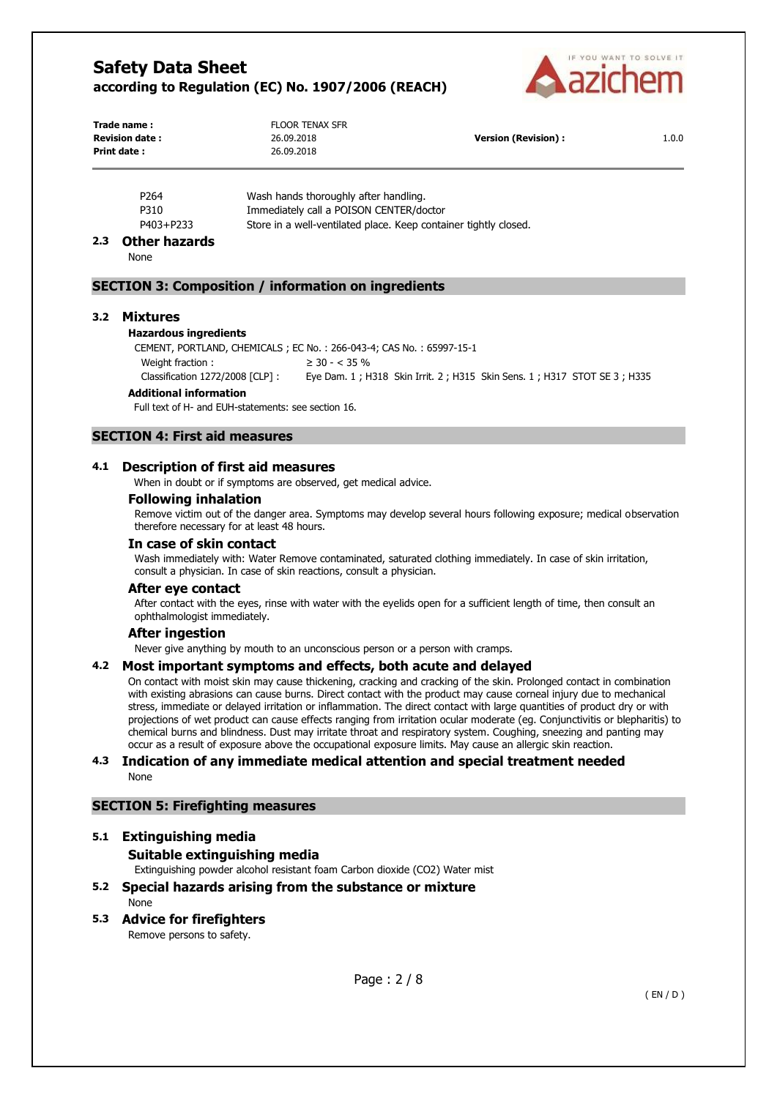

| Trade name:            | <b>FLOOR TENAX SFR</b> |                            |       |
|------------------------|------------------------|----------------------------|-------|
| <b>Revision date :</b> | 26.09.2018             | <b>Version (Revision):</b> | 1.0.0 |
| Print date :           | 26.09.2018             |                            |       |
|                        |                        |                            |       |

| P <sub>264</sub> | Wash hands thoroughly after handling.                            |
|------------------|------------------------------------------------------------------|
| P310             | Immediately call a POISON CENTER/doctor                          |
| P403+P233        | Store in a well-ventilated place. Keep container tightly closed. |
|                  |                                                                  |

#### **2.3 Other hazards**

None

#### **SECTION 3: Composition / information on ingredients**

#### **3.2 Mixtures**

#### **Hazardous ingredients**

CEMENT, PORTLAND, CHEMICALS ; EC No. : 266-043-4; CAS No. : 65997-15-1 Weight fraction :  $\geq 30 - < 35\%$ 

Classification 1272/2008 [CLP] : Eye Dam. 1 ; H318 Skin Irrit. 2 ; H315 Skin Sens. 1 ; H317 STOT SE 3 ; H335

#### **Additional information**

Full text of H- and EUH-statements: see section 16.

## **SECTION 4: First aid measures**

## **4.1 Description of first aid measures**

When in doubt or if symptoms are observed, get medical advice.

#### **Following inhalation**

Remove victim out of the danger area. Symptoms may develop several hours following exposure; medical observation therefore necessary for at least 48 hours.

## **In case of skin contact**

Wash immediately with: Water Remove contaminated, saturated clothing immediately. In case of skin irritation, consult a physician. In case of skin reactions, consult a physician.

#### **After eye contact**

After contact with the eyes, rinse with water with the eyelids open for a sufficient length of time, then consult an ophthalmologist immediately.

#### **After ingestion**

Never give anything by mouth to an unconscious person or a person with cramps.

#### **4.2 Most important symptoms and effects, both acute and delayed**

On contact with moist skin may cause thickening, cracking and cracking of the skin. Prolonged contact in combination with existing abrasions can cause burns. Direct contact with the product may cause corneal injury due to mechanical stress, immediate or delayed irritation or inflammation. The direct contact with large quantities of product dry or with projections of wet product can cause effects ranging from irritation ocular moderate (eg. Conjunctivitis or blepharitis) to chemical burns and blindness. Dust may irritate throat and respiratory system. Coughing, sneezing and panting may occur as a result of exposure above the occupational exposure limits. May cause an allergic skin reaction.

#### **4.3 Indication of any immediate medical attention and special treatment needed**  None

#### **SECTION 5: Firefighting measures**

#### **5.1 Extinguishing media**

## **Suitable extinguishing media**

Extinguishing powder alcohol resistant foam Carbon dioxide (CO2) Water mist

- **5.2 Special hazards arising from the substance or mixture**  None
- **5.3 Advice for firefighters**  Remove persons to safety.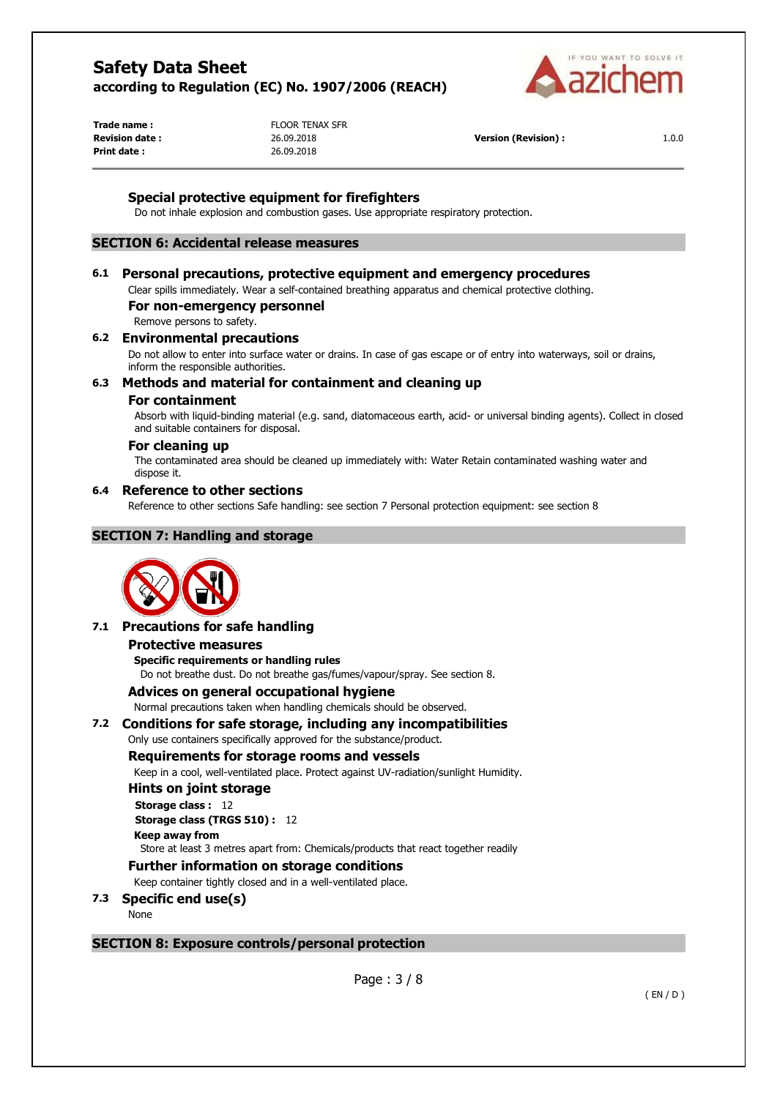

**Print date :** 26.09.2018

**Trade name :** Trade name : FLOOR TENAX SFR

**Revision date :** 26.09.2018 **Version (Revision) :** 1.0.0

## **Special protective equipment for firefighters**

Do not inhale explosion and combustion gases. Use appropriate respiratory protection.

## **SECTION 6: Accidental release measures**

#### **6.1 Personal precautions, protective equipment and emergency procedures**

Clear spills immediately. Wear a self-contained breathing apparatus and chemical protective clothing.

#### **For non-emergency personnel**

Remove persons to safety.

#### **6.2 Environmental precautions**

Do not allow to enter into surface water or drains. In case of gas escape or of entry into waterways, soil or drains, inform the responsible authorities.

#### **6.3 Methods and material for containment and cleaning up**

#### **For containment**

Absorb with liquid-binding material (e.g. sand, diatomaceous earth, acid- or universal binding agents). Collect in closed and suitable containers for disposal.

#### **For cleaning up**

The contaminated area should be cleaned up immediately with: Water Retain contaminated washing water and dispose it.

#### **6.4 Reference to other sections**

Reference to other sections Safe handling: see section 7 Personal protection equipment: see section 8

## **SECTION 7: Handling and storage**



## **7.1 Precautions for safe handling Protective measures**

**Specific requirements or handling rules**  Do not breathe dust. Do not breathe gas/fumes/vapour/spray. See section 8.

## **Advices on general occupational hygiene**

Normal precautions taken when handling chemicals should be observed.

#### **7.2 Conditions for safe storage, including any incompatibilities**

Only use containers specifically approved for the substance/product.

#### **Requirements for storage rooms and vessels**

Keep in a cool, well-ventilated place. Protect against UV-radiation/sunlight Humidity.

#### **Hints on joint storage**

**Storage class :** 12 **Storage class (TRGS 510) :** 12 **Keep away from**  Store at least 3 metres apart from: Chemicals/products that react together readily

## **Further information on storage conditions**

Keep container tightly closed and in a well-ventilated place.

- **7.3 Specific end use(s)** 
	- None

## **SECTION 8: Exposure controls/personal protection**

Page : 3 / 8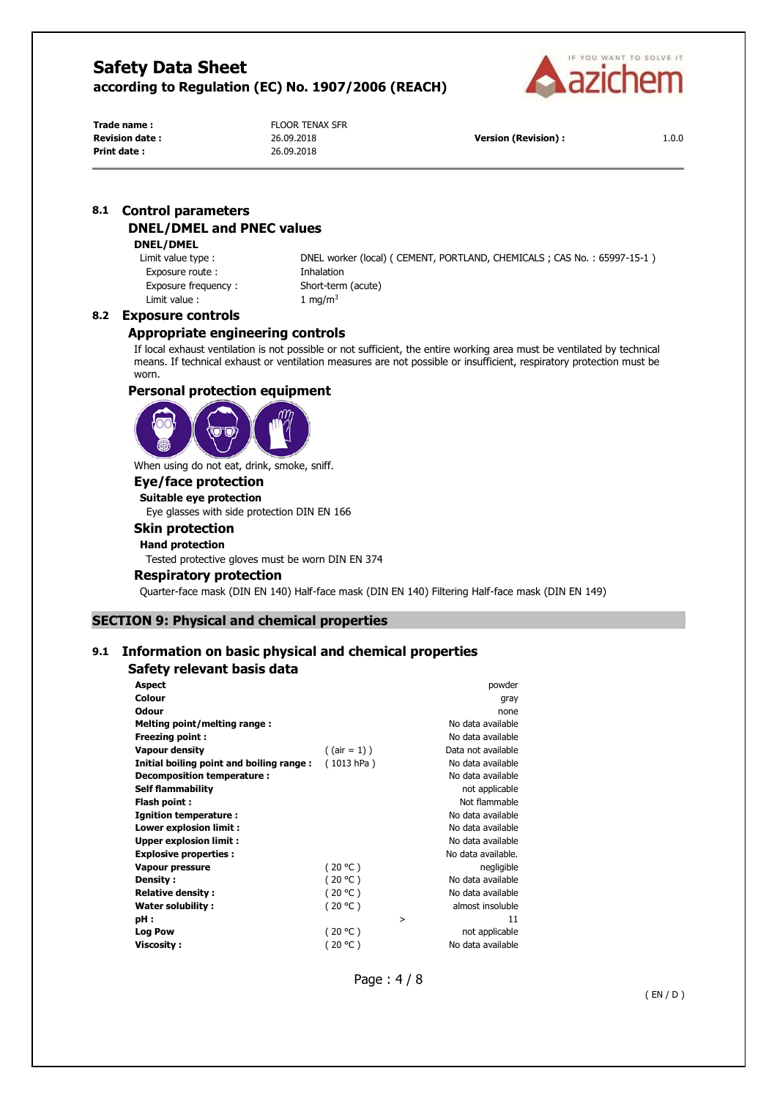

**Print date :** 26.09.2018

**Trade name :** Trade name : Trade name : FLOOR TENAX SFR

**Revision date :** 26.09.2018 **Version (Revision) :** 1.0.0

## **8.1 Control parameters DNEL/DMEL and PNEC values**

#### **DNEL/DMEL**

Exposure route : Inhalation Exposure frequency : Short-term (acute) Limit value :  $1 \text{ mg/m}^3$ 

Limit value type : DNEL worker (local) ( CEMENT, PORTLAND, CHEMICALS ; CAS No. : 65997-15-1 )

### **8.2 Exposure controls**

## **Appropriate engineering controls**

If local exhaust ventilation is not possible or not sufficient, the entire working area must be ventilated by technical means. If technical exhaust or ventilation measures are not possible or insufficient, respiratory protection must be worn.

## **Personal protection equipment**



When using do not eat, drink, smoke, sniff.

## **Eye/face protection**

**Suitable eye protection**  Eye glasses with side protection DIN EN 166

## **Skin protection**

## **Hand protection**

Tested protective gloves must be worn DIN EN 374

#### **Respiratory protection**

Quarter-face mask (DIN EN 140) Half-face mask (DIN EN 140) Filtering Half-face mask (DIN EN 149)

## **SECTION 9: Physical and chemical properties**

## **9.1 Information on basic physical and chemical properties**

## **Safety relevant basis data**

| <b>Aspect</b>                            |                 |   | powder             |
|------------------------------------------|-----------------|---|--------------------|
| <b>Colour</b>                            |                 |   | gray               |
| <b>Odour</b>                             |                 |   | none               |
| Melting point/melting range:             |                 |   | No data available  |
| <b>Freezing point:</b>                   |                 |   | No data available  |
| <b>Vapour density</b>                    | $($ (air = 1) ) |   | Data not available |
| Initial boiling point and boiling range: | (1013 hPa)      |   | No data available  |
| Decomposition temperature :              |                 |   | No data available  |
| Self flammability                        |                 |   | not applicable     |
| Flash point:                             |                 |   | Not flammable      |
| Ignition temperature :                   |                 |   | No data available  |
| Lower explosion limit :                  |                 |   | No data available  |
| <b>Upper explosion limit:</b>            |                 |   | No data available  |
| <b>Explosive properties:</b>             |                 |   | No data available. |
| <b>Vapour pressure</b>                   | (20 °C)         |   | negligible         |
| Density:                                 | (20 °C)         |   | No data available  |
| <b>Relative density:</b>                 | (20 °C)         |   | No data available  |
| Water solubility:                        | (20 °C)         |   | almost insoluble   |
| pH :                                     |                 | > | 11                 |
| <b>Log Pow</b>                           | (20 °C)         |   | not applicable     |
| <b>Viscosity:</b>                        | (20 °C)         |   | No data available  |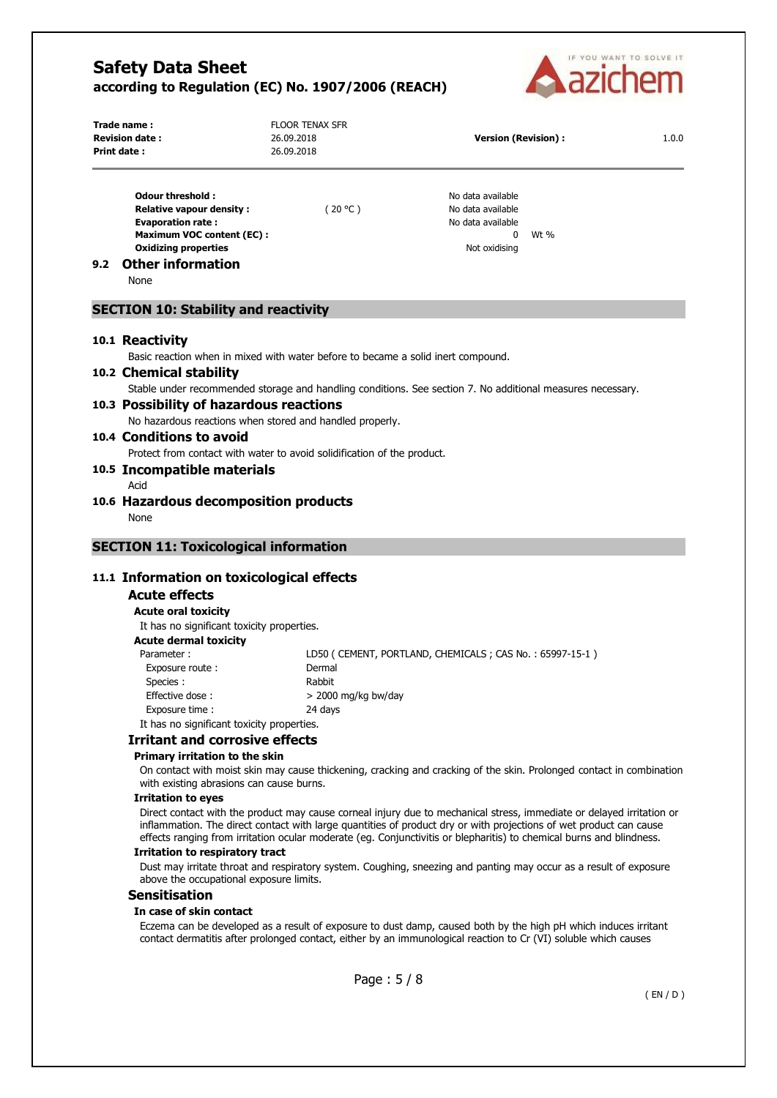

|     | Trade name:<br><b>Revision date:</b><br>Print date:                                                                                                                                           | <b>FLOOR TENAX SFR</b><br>26.09.2018<br>26.09.2018                               | <b>Version (Revision):</b>                                                                                                                                                                                                                                                                                                                                          | 1.0.0 |
|-----|-----------------------------------------------------------------------------------------------------------------------------------------------------------------------------------------------|----------------------------------------------------------------------------------|---------------------------------------------------------------------------------------------------------------------------------------------------------------------------------------------------------------------------------------------------------------------------------------------------------------------------------------------------------------------|-------|
| 9.2 | <b>Odour threshold:</b><br><b>Relative vapour density:</b><br><b>Evaporation rate:</b><br><b>Maximum VOC content (EC):</b><br><b>Oxidizing properties</b><br><b>Other information</b><br>None | (20 °C)                                                                          | No data available<br>No data available<br>No data available<br>0<br>Wt %<br>Not oxidising                                                                                                                                                                                                                                                                           |       |
|     | <b>SECTION 10: Stability and reactivity</b>                                                                                                                                                   |                                                                                  |                                                                                                                                                                                                                                                                                                                                                                     |       |
|     | 10.1 Reactivity                                                                                                                                                                               |                                                                                  |                                                                                                                                                                                                                                                                                                                                                                     |       |
|     | 10.2 Chemical stability<br>10.3 Possibility of hazardous reactions                                                                                                                            | Basic reaction when in mixed with water before to became a solid inert compound. | Stable under recommended storage and handling conditions. See section 7. No additional measures necessary.                                                                                                                                                                                                                                                          |       |
|     | 10.4 Conditions to avoid                                                                                                                                                                      | No hazardous reactions when stored and handled properly.                         |                                                                                                                                                                                                                                                                                                                                                                     |       |
|     | 10.5 Incompatible materials                                                                                                                                                                   | Protect from contact with water to avoid solidification of the product.          |                                                                                                                                                                                                                                                                                                                                                                     |       |
|     | Acid                                                                                                                                                                                          |                                                                                  |                                                                                                                                                                                                                                                                                                                                                                     |       |
|     | 10.6 Hazardous decomposition products<br>None                                                                                                                                                 |                                                                                  |                                                                                                                                                                                                                                                                                                                                                                     |       |
|     | 11.1 Information on toxicological effects<br><b>Acute effects</b><br><b>Acute oral toxicity</b><br>It has no significant toxicity properties.                                                 |                                                                                  |                                                                                                                                                                                                                                                                                                                                                                     |       |
|     | <b>Acute dermal toxicity</b><br>Parameter:                                                                                                                                                    |                                                                                  | LD50 (CEMENT, PORTLAND, CHEMICALS; CAS No.: 65997-15-1)                                                                                                                                                                                                                                                                                                             |       |
|     | Exposure route:<br>Species:<br>Effective dose:                                                                                                                                                | Dermal<br>Rabbit<br>> 2000 mg/kg bw/day                                          |                                                                                                                                                                                                                                                                                                                                                                     |       |
|     | Exposure time:                                                                                                                                                                                | 24 days                                                                          |                                                                                                                                                                                                                                                                                                                                                                     |       |
|     | It has no significant toxicity properties.<br><b>Irritant and corrosive effects</b>                                                                                                           |                                                                                  |                                                                                                                                                                                                                                                                                                                                                                     |       |
|     | Primary irritation to the skin<br>with existing abrasions can cause burns.                                                                                                                    |                                                                                  | On contact with moist skin may cause thickening, cracking and cracking of the skin. Prolonged contact in combination                                                                                                                                                                                                                                                |       |
|     | <b>Irritation to eyes</b>                                                                                                                                                                     |                                                                                  | Direct contact with the product may cause corneal injury due to mechanical stress, immediate or delayed irritation or<br>inflammation. The direct contact with large quantities of product dry or with projections of wet product can cause<br>effects ranging from irritation ocular moderate (eq. Conjunctivitis or blepharitis) to chemical burns and blindness. |       |
|     | <b>Irritation to respiratory tract</b><br>above the occupational exposure limits.                                                                                                             |                                                                                  | Dust may irritate throat and respiratory system. Coughing, sneezing and panting may occur as a result of exposure                                                                                                                                                                                                                                                   |       |
|     | <b>Sensitisation</b>                                                                                                                                                                          |                                                                                  |                                                                                                                                                                                                                                                                                                                                                                     |       |
|     | In case of skin contact                                                                                                                                                                       |                                                                                  | Eczema can be developed as a result of exposure to dust damp, caused both by the high pH which induces irritant<br>contact dermatitis after prolonged contact, either by an immunological reaction to Cr (VI) soluble which causes                                                                                                                                  |       |
|     |                                                                                                                                                                                               |                                                                                  |                                                                                                                                                                                                                                                                                                                                                                     |       |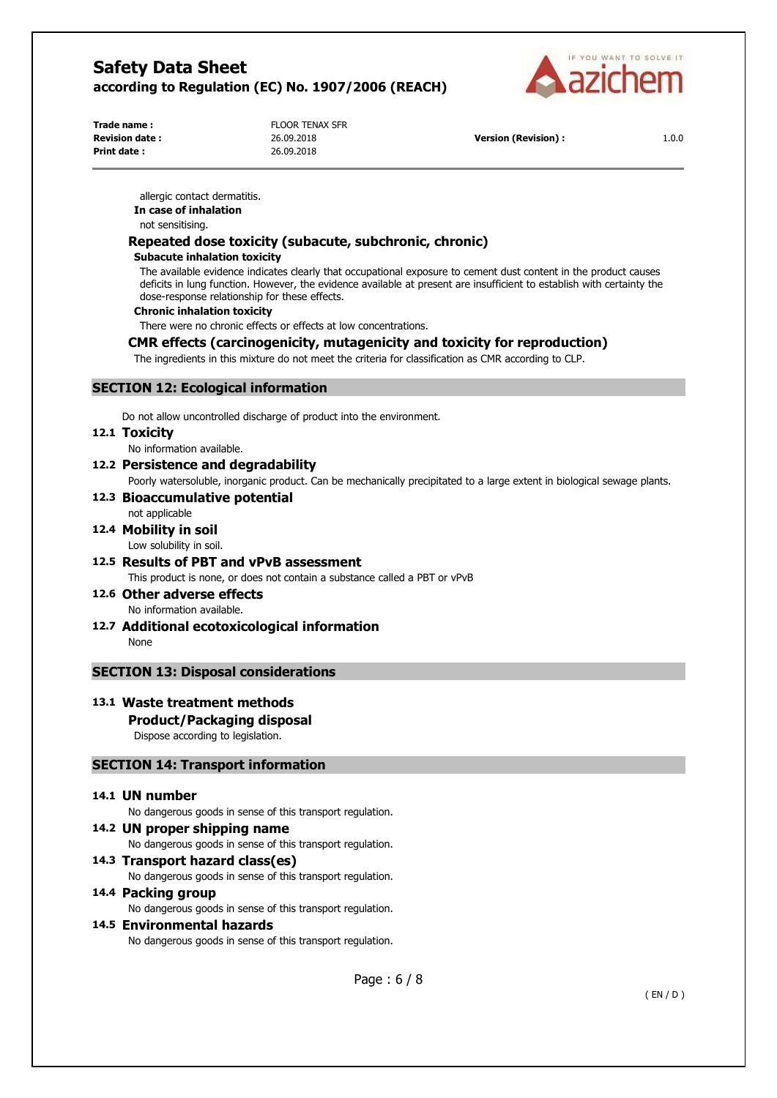

**Print date :** 26.09.2018

**Trade name :** Trade name : FLOOR TENAX SFR

**Revision date :** 26.09.2018 **Version (Revision) :** 1.0.0

allergic contact dermatitis. **In case of inhalation**  not sensitising.

## **Repeated dose toxicity (subacute, subchronic, chronic)**

#### **Subacute inhalation toxicity**

The available evidence indicates clearly that occupational exposure to cement dust content in the product causes deficits in lung function. However, the evidence available at present are insufficient to establish with certainty the dose-response relationship for these effects.

#### **Chronic inhalation toxicity**

There were no chronic effects or effects at low concentrations.

## **CMR effects (carcinogenicity, mutagenicity and toxicity for reproduction)**

The ingredients in this mixture do not meet the criteria for classification as CMR according to CLP.

## **SECTION 12: Ecological information**

Do not allow uncontrolled discharge of product into the environment.

#### **12.1 Toxicity**

No information available.

**12.2 Persistence and degradability**  Poorly watersoluble, inorganic product. Can be mechanically precipitated to a large extent in biological sewage plants.

## **12.3 Bioaccumulative potential**

## not applicable

## **12.4 Mobility in soil**

Low solubility in soil.

# **12.5 Results of PBT and vPvB assessment**

This product is none, or does not contain a substance called a PBT or vPvB

- **12.6 Other adverse effects**  No information available.
- **12.7 Additional ecotoxicological information**  None

## **SECTION 13: Disposal considerations**

## **13.1 Waste treatment methods**

## **Product/Packaging disposal**

Dispose according to legislation.

## **SECTION 14: Transport information**

## **14.1 UN number**

No dangerous goods in sense of this transport regulation.

**14.2 UN proper shipping name**  No dangerous goods in sense of this transport regulation. **14.3 Transport hazard class(es)** 

No dangerous goods in sense of this transport regulation.

## **14.4 Packing group**

No dangerous goods in sense of this transport regulation.

## **14.5 Environmental hazards**

No dangerous goods in sense of this transport regulation.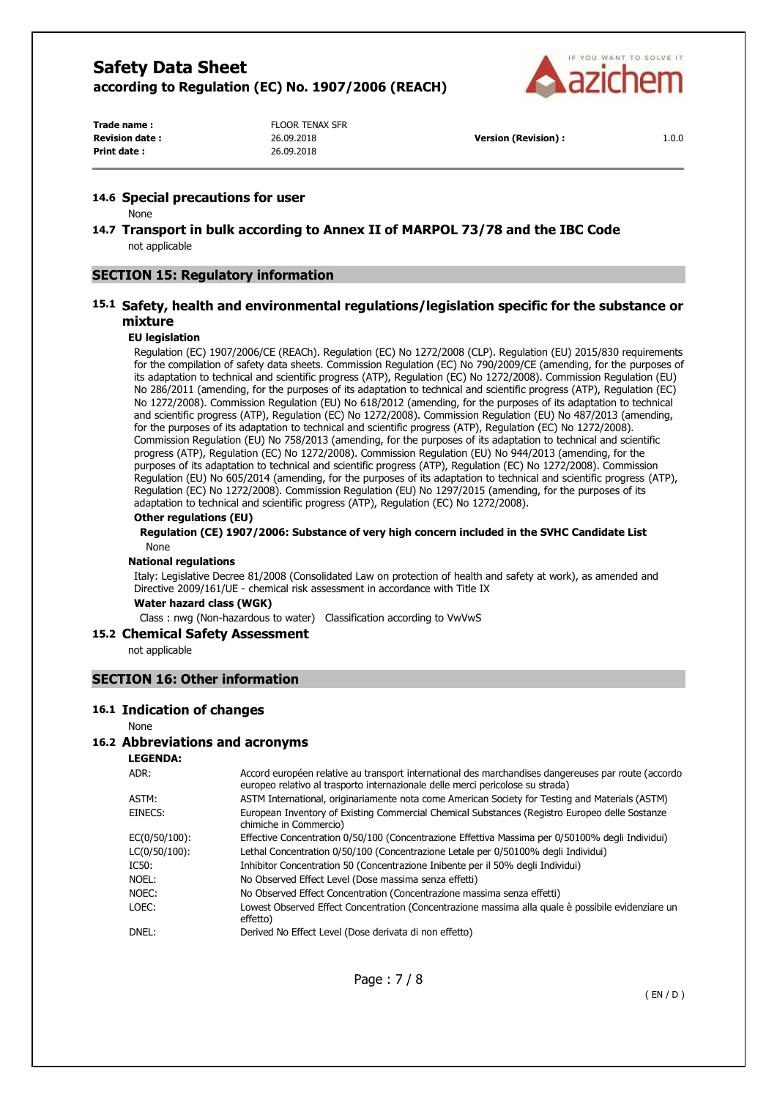

**Print date :** 26.09.2018

**Trade name :** FLOOR TENAX SFR

**Revision date :** 26.09.2018 **Version (Revision) :** 1.0.0

#### **14.6 Special precautions for user**

None

**14.7 Transport in bulk according to Annex II of MARPOL 73/78 and the IBC Code**  not applicable

## **SECTION 15: Regulatory information**

## **15.1 Safety, health and environmental regulations/legislation specific for the substance or mixture**

#### **EU legislation**

Regulation (EC) 1907/2006/CE (REACh). Regulation (EC) No 1272/2008 (CLP). Regulation (EU) 2015/830 requirements for the compilation of safety data sheets. Commission Regulation (EC) No 790/2009/CE (amending, for the purposes of its adaptation to technical and scientific progress (ATP), Regulation (EC) No 1272/2008). Commission Regulation (EU) No 286/2011 (amending, for the purposes of its adaptation to technical and scientific progress (ATP), Regulation (EC) No 1272/2008). Commission Regulation (EU) No 618/2012 (amending, for the purposes of its adaptation to technical and scientific progress (ATP), Regulation (EC) No 1272/2008). Commission Regulation (EU) No 487/2013 (amending, for the purposes of its adaptation to technical and scientific progress (ATP), Regulation (EC) No 1272/2008). Commission Regulation (EU) No 758/2013 (amending, for the purposes of its adaptation to technical and scientific progress (ATP), Regulation (EC) No 1272/2008). Commission Regulation (EU) No 944/2013 (amending, for the purposes of its adaptation to technical and scientific progress (ATP), Regulation (EC) No 1272/2008). Commission Regulation (EU) No 605/2014 (amending, for the purposes of its adaptation to technical and scientific progress (ATP), Regulation (EC) No 1272/2008). Commission Regulation (EU) No 1297/2015 (amending, for the purposes of its adaptation to technical and scientific progress (ATP), Regulation (EC) No 1272/2008).

#### **Other regulations (EU)**

**Regulation (CE) 1907/2006: Substance of very high concern included in the SVHC Candidate List**  None

#### **National regulations**

Italy: Legislative Decree 81/2008 (Consolidated Law on protection of health and safety at work), as amended and Directive 2009/161/UE - chemical risk assessment in accordance with Title IX

**Water hazard class (WGK)** 

Class : nwg (Non-hazardous to water) Classification according to VwVwS

#### **15.2 Chemical Safety Assessment**

not applicable

#### **SECTION 16: Other information**

#### **16.1 Indication of changes**

#### None

#### **16.2 Abbreviations and acronyms**

**LEGENDA:**

| ADR:          | Accord européen relative au transport international des marchandises dangereuses par route (accordo<br>europeo relativo al trasporto internazionale delle merci pericolose su strada) |
|---------------|---------------------------------------------------------------------------------------------------------------------------------------------------------------------------------------|
| ASTM:         | ASTM International, originariamente nota come American Society for Testing and Materials (ASTM)                                                                                       |
| EINECS:       | European Inventory of Existing Commercial Chemical Substances (Registro Europeo delle Sostanze<br>chimiche in Commercio)                                                              |
| EC(0/50/100): | Effective Concentration 0/50/100 (Concentrazione Effettiva Massima per 0/50100% degli Individui)                                                                                      |
| LC(0/50/100): | Lethal Concentration 0/50/100 (Concentrazione Letale per 0/50100% degli Individui)                                                                                                    |
| IC50:         | Inhibitor Concentration 50 (Concentrazione Inibente per il 50% degli Individui)                                                                                                       |
| NOEL:         | No Observed Effect Level (Dose massima senza effetti)                                                                                                                                 |
| NOEC:         | No Observed Effect Concentration (Concentrazione massima senza effetti)                                                                                                               |
| LOEC:         | Lowest Observed Effect Concentration (Concentrazione massima alla quale è possibile evidenziare un<br>effetto)                                                                        |
| DNEL:         | Derived No Effect Level (Dose derivata di non effetto)                                                                                                                                |
|               |                                                                                                                                                                                       |